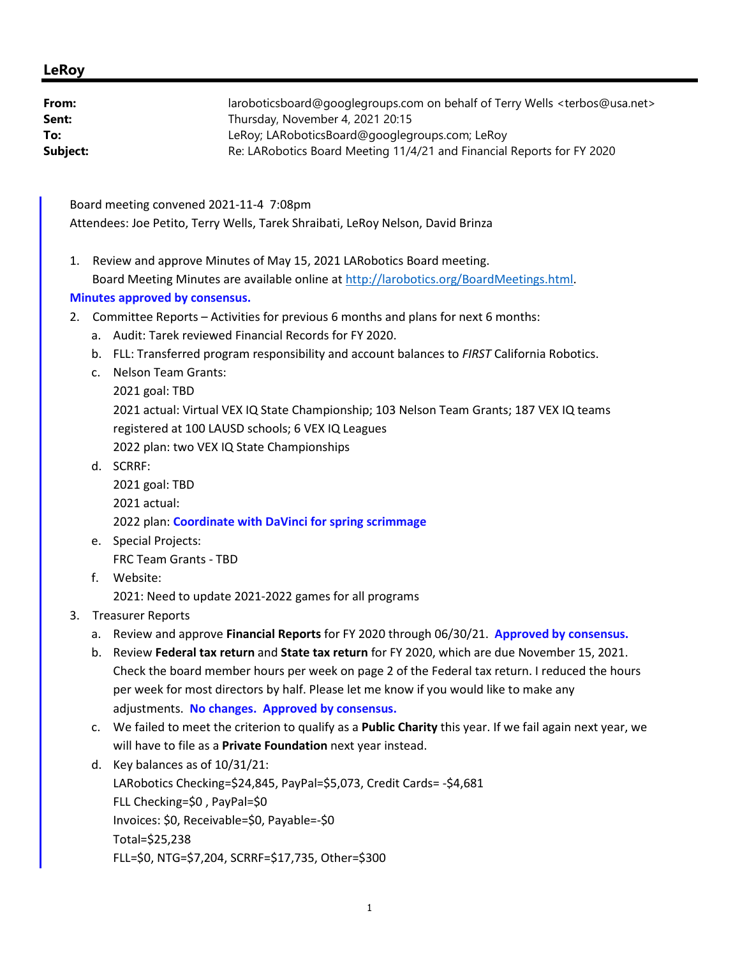## **LeRoy**

| From:    | laroboticsboard@googlegroups.com on behalf of Terry Wells <terbos@usa.net></terbos@usa.net> |
|----------|---------------------------------------------------------------------------------------------|
| Sent:    | Thursday, November 4, 2021 20:15                                                            |
| To:      | LeRoy; LARoboticsBoard@googlegroups.com; LeRoy                                              |
| Subject: | Re: LARobotics Board Meeting 11/4/21 and Financial Reports for FY 2020                      |
|          |                                                                                             |

Board meeting convened 2021-11-4 7:08pm Attendees: Joe Petito, Terry Wells, Tarek Shraibati, LeRoy Nelson, David Brinza

1. Review and approve Minutes of May 15, 2021 LARobotics Board meeting. Board Meeting Minutes are available online at http://larobotics.org/BoardMeetings.html.

## **Minutes approved by consensus.**

- 2. Committee Reports Activities for previous 6 months and plans for next 6 months:
	- a. Audit: Tarek reviewed Financial Records for FY 2020.
	- b. FLL: Transferred program responsibility and account balances to *FIRST* California Robotics.
	- c. Nelson Team Grants:

2021 goal: TBD 2021 actual: Virtual VEX IQ State Championship; 103 Nelson Team Grants; 187 VEX IQ teams registered at 100 LAUSD schools; 6 VEX IQ Leagues 2022 plan: two VEX IQ State Championships

d. SCRRF:

```
2021 goal: TBD 
2021 actual: 
2022 plan: Coordinate with DaVinci for spring scrimmage
```
- e. Special Projects: FRC Team Grants - TBD
- f. Website:

2021: Need to update 2021-2022 games for all programs

- 3. Treasurer Reports
	- a. Review and approve **Financial Reports** for FY 2020 through 06/30/21. **Approved by consensus.**
	- b. Review **Federal tax return** and **State tax return** for FY 2020, which are due November 15, 2021. Check the board member hours per week on page 2 of the Federal tax return. I reduced the hours per week for most directors by half. Please let me know if you would like to make any adjustments. **No changes. Approved by consensus.**
	- c. We failed to meet the criterion to qualify as a **Public Charity** this year. If we fail again next year, we will have to file as a **Private Foundation** next year instead.
	- d. Key balances as of 10/31/21: LARobotics Checking=\$24,845, PayPal=\$5,073, Credit Cards= -\$4,681 FLL Checking=\$0 , PayPal=\$0 Invoices: \$0, Receivable=\$0, Payable=-\$0 Total=\$25,238 FLL=\$0, NTG=\$7,204, SCRRF=\$17,735, Other=\$300